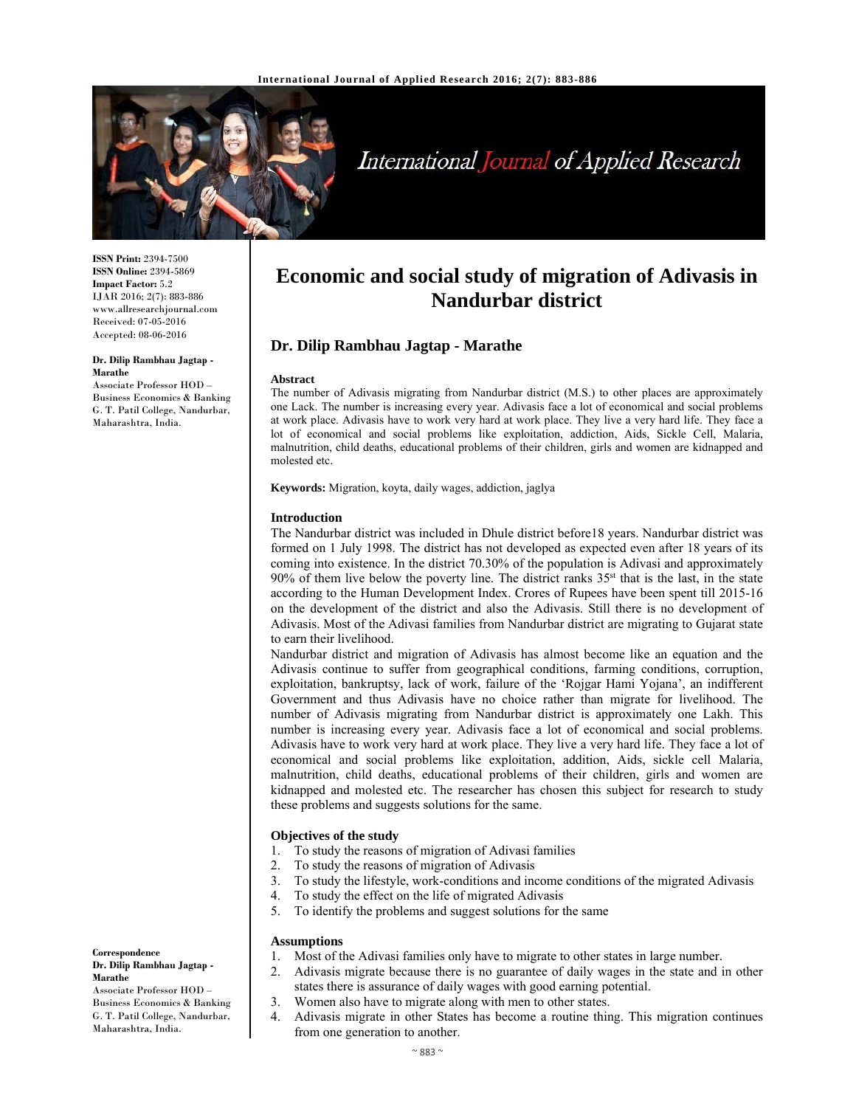

# International Journal of Applied Research

**ISSN Print:** 2394-7500 **ISSN Online:** 2394-5869 **Impact Factor:** 5.2 IJAR 2016; 2(7): 883-886 www.allresearchjournal.com Received: 07-05-2016 Accepted: 08-06-2016

#### **Dr. Dilip Rambhau Jagtap - Marathe**

Associate Professor HOD – Business Economics & Banking G. T. Patil College, Nandurbar, Maharashtra, India.

# **Economic and social study of migration of Adivasis in Nandurbar district**

# **Dr. Dilip Rambhau Jagtap - Marathe**

#### **Abstract**

The number of Adivasis migrating from Nandurbar district (M.S.) to other places are approximately one Lack. The number is increasing every year. Adivasis face a lot of economical and social problems at work place. Adivasis have to work very hard at work place. They live a very hard life. They face a lot of economical and social problems like exploitation, addiction, Aids, Sickle Cell, Malaria, malnutrition, child deaths, educational problems of their children, girls and women are kidnapped and molested etc.

**Keywords:** Migration, koyta, daily wages, addiction, jaglya

#### **Introduction**

The Nandurbar district was included in Dhule district before18 years. Nandurbar district was formed on 1 July 1998. The district has not developed as expected even after 18 years of its coming into existence. In the district 70.30% of the population is Adivasi and approximately 90% of them live below the poverty line. The district ranks  $35<sup>st</sup>$  that is the last, in the state according to the Human Development Index. Crores of Rupees have been spent till 2015-16 on the development of the district and also the Adivasis. Still there is no development of Adivasis. Most of the Adivasi families from Nandurbar district are migrating to Gujarat state to earn their livelihood.

Nandurbar district and migration of Adivasis has almost become like an equation and the Adivasis continue to suffer from geographical conditions, farming conditions, corruption, exploitation, bankruptsy, lack of work, failure of the 'Rojgar Hami Yojana', an indifferent Government and thus Adivasis have no choice rather than migrate for livelihood. The number of Adivasis migrating from Nandurbar district is approximately one Lakh. This number is increasing every year. Adivasis face a lot of economical and social problems. Adivasis have to work very hard at work place. They live a very hard life. They face a lot of economical and social problems like exploitation, addition, Aids, sickle cell Malaria, malnutrition, child deaths, educational problems of their children, girls and women are kidnapped and molested etc. The researcher has chosen this subject for research to study these problems and suggests solutions for the same.

# **Objectives of the study**

- 1. To study the reasons of migration of Adivasi families
- 2. To study the reasons of migration of Adivasis
- 3. To study the lifestyle, work-conditions and income conditions of the migrated Adivasis
- 4. To study the effect on the life of migrated Adivasis
- 5. To identify the problems and suggest solutions for the same

#### **Assumptions**

- 1. Most of the Adivasi families only have to migrate to other states in large number.
- 2. Adivasis migrate because there is no guarantee of daily wages in the state and in other states there is assurance of daily wages with good earning potential.
- 3. Women also have to migrate along with men to other states.
- 4. Adivasis migrate in other States has become a routine thing. This migration continues from one generation to another.

**Correspondence**

#### **Dr. Dilip Rambhau Jagtap - Marathe**

Associate Professor HOD – Business Economics & Banking G. T. Patil College, Nandurbar, Maharashtra, India.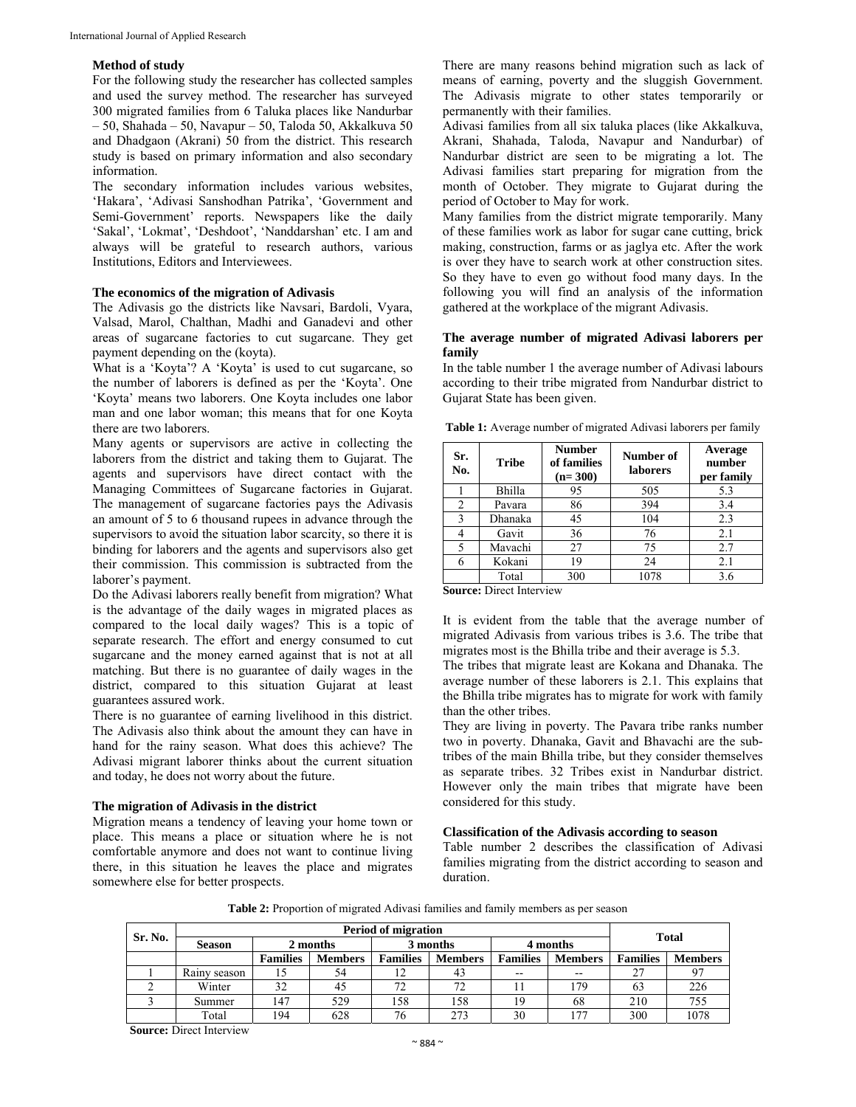# **Method of study**

For the following study the researcher has collected samples and used the survey method. The researcher has surveyed 300 migrated families from 6 Taluka places like Nandurbar – 50, Shahada – 50, Navapur – 50, Taloda 50, Akkalkuva 50 and Dhadgaon (Akrani) 50 from the district. This research study is based on primary information and also secondary information.

The secondary information includes various websites, 'Hakara', 'Adivasi Sanshodhan Patrika', 'Government and Semi-Government' reports. Newspapers like the daily 'Sakal', 'Lokmat', 'Deshdoot', 'Nanddarshan' etc. I am and always will be grateful to research authors, various Institutions, Editors and Interviewees.

# **The economics of the migration of Adivasis**

The Adivasis go the districts like Navsari, Bardoli, Vyara, Valsad, Marol, Chalthan, Madhi and Ganadevi and other areas of sugarcane factories to cut sugarcane. They get payment depending on the (koyta).

What is a 'Koyta'? A 'Koyta' is used to cut sugarcane, so the number of laborers is defined as per the 'Koyta'. One 'Koyta' means two laborers. One Koyta includes one labor man and one labor woman; this means that for one Koyta there are two laborers.

Many agents or supervisors are active in collecting the laborers from the district and taking them to Gujarat. The agents and supervisors have direct contact with the Managing Committees of Sugarcane factories in Gujarat. The management of sugarcane factories pays the Adivasis an amount of 5 to 6 thousand rupees in advance through the supervisors to avoid the situation labor scarcity, so there it is binding for laborers and the agents and supervisors also get their commission. This commission is subtracted from the laborer's payment.

Do the Adivasi laborers really benefit from migration? What is the advantage of the daily wages in migrated places as compared to the local daily wages? This is a topic of separate research. The effort and energy consumed to cut sugarcane and the money earned against that is not at all matching. But there is no guarantee of daily wages in the district, compared to this situation Gujarat at least guarantees assured work.

There is no guarantee of earning livelihood in this district. The Adivasis also think about the amount they can have in hand for the rainy season. What does this achieve? The Adivasi migrant laborer thinks about the current situation and today, he does not worry about the future.

#### **The migration of Adivasis in the district**

Migration means a tendency of leaving your home town or place. This means a place or situation where he is not comfortable anymore and does not want to continue living there, in this situation he leaves the place and migrates somewhere else for better prospects.

There are many reasons behind migration such as lack of means of earning, poverty and the sluggish Government. The Adivasis migrate to other states temporarily or permanently with their families.

Adivasi families from all six taluka places (like Akkalkuva, Akrani, Shahada, Taloda, Navapur and Nandurbar) of Nandurbar district are seen to be migrating a lot. The Adivasi families start preparing for migration from the month of October. They migrate to Gujarat during the period of October to May for work.

Many families from the district migrate temporarily. Many of these families work as labor for sugar cane cutting, brick making, construction, farms or as jaglya etc. After the work is over they have to search work at other construction sites. So they have to even go without food many days. In the following you will find an analysis of the information gathered at the workplace of the migrant Adivasis.

# **The average number of migrated Adivasi laborers per family**

In the table number 1 the average number of Adivasi labours according to their tribe migrated from Nandurbar district to Gujarat State has been given.

**Table 1:** Average number of migrated Adivasi laborers per family

| Sr.<br>No. | <b>Tribe</b> | <b>Number</b><br>of families<br>$(n=300)$ | Number of<br><b>laborers</b> | Average<br>number<br>per family |
|------------|--------------|-------------------------------------------|------------------------------|---------------------------------|
|            | Bhilla       | 95                                        | 505                          | 5.3                             |
| 2          | Pavara       | 86                                        | 394                          | 3.4                             |
| 3          | Dhanaka      | 45                                        | 104                          | 2.3                             |
|            | Gavit        | 36                                        | 76                           | 2.1                             |
|            | Mavachi      | 27                                        | 75                           | 2.7                             |
|            | Kokani       | 19                                        | 24                           | 2.1                             |
|            | Total        | 300                                       | 1078                         | 3.6                             |

**Source:** Direct Interview

It is evident from the table that the average number of migrated Adivasis from various tribes is 3.6. The tribe that migrates most is the Bhilla tribe and their average is 5.3.

The tribes that migrate least are Kokana and Dhanaka. The average number of these laborers is 2.1. This explains that the Bhilla tribe migrates has to migrate for work with family than the other tribes.

They are living in poverty. The Pavara tribe ranks number two in poverty. Dhanaka, Gavit and Bhavachi are the subtribes of the main Bhilla tribe, but they consider themselves as separate tribes. 32 Tribes exist in Nandurbar district. However only the main tribes that migrate have been considered for this study.

#### **Classification of the Adivasis according to season**

Table number 2 describes the classification of Adivasi families migrating from the district according to season and duration.

**Table 2:** Proportion of migrated Adivasi families and family members as per season

| Sr. No. | <b>Period of migration</b> |                 |                |                 |                |                 |                | <b>Total</b>    |                |
|---------|----------------------------|-----------------|----------------|-----------------|----------------|-----------------|----------------|-----------------|----------------|
|         | <b>Season</b>              | 2 months        |                | 3 months        |                | 4 months        |                |                 |                |
|         |                            | <b>Families</b> | <b>Members</b> | <b>Families</b> | <b>Members</b> | <b>Families</b> | <b>Members</b> | <b>Families</b> | <b>Members</b> |
|         | Rainy season               |                 | 54             |                 | 43             | $- -$           | --             | 27              |                |
|         | Winter                     | 32              | 45             | 72              | 72             |                 | 179            | 63              | 226            |
|         | Summer                     | 147             | 529            | 158             | 158            | 19              | 68             | 210             | 755            |
|         | Total                      | 194             | 628            | 76              | 273            | 30              | 177            | 300             | 1078           |

**Source:** Direct Interview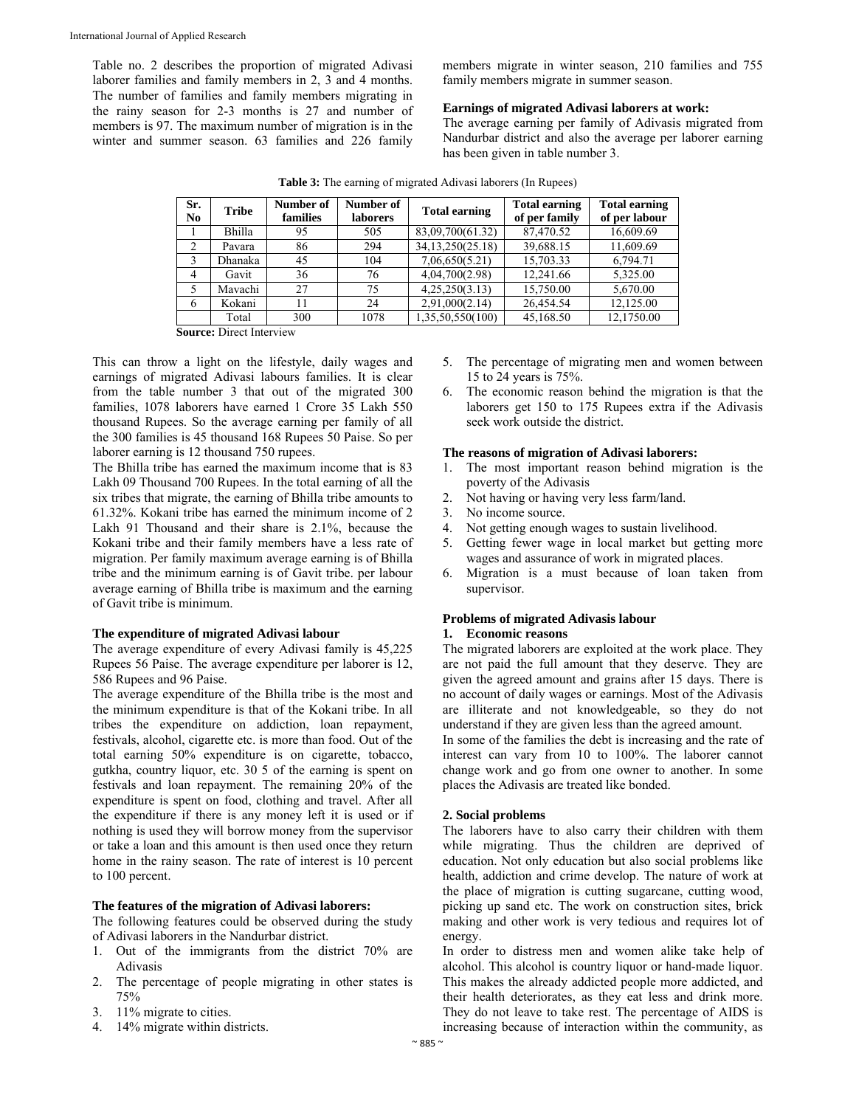Table no. 2 describes the proportion of migrated Adivasi laborer families and family members in 2, 3 and 4 months. The number of families and family members migrating in the rainy season for 2-3 months is 27 and number of members is 97. The maximum number of migration is in the winter and summer season. 63 families and 226 family members migrate in winter season, 210 families and 755 family members migrate in summer season.

# **Earnings of migrated Adivasi laborers at work:**

The average earning per family of Adivasis migrated from Nandurbar district and also the average per laborer earning has been given in table number 3.

| Sr.<br>No      | <b>Tribe</b>                | Number of<br>families | Number of<br><b>laborers</b> | <b>Total earning</b> | <b>Total earning</b><br>of per family | <b>Total earning</b><br>of per labour |  |  |
|----------------|-----------------------------|-----------------------|------------------------------|----------------------|---------------------------------------|---------------------------------------|--|--|
|                | Bhilla                      | 95                    | 505                          | 83,09,700(61.32)     | 87,470.52                             | 16,609.69                             |  |  |
| 2              | Pavara                      | 86                    | 294                          | 34, 13, 250 (25.18)  | 39,688.15                             | 11,609.69                             |  |  |
| 3              | Dhanaka                     | 45                    | 104                          | 7,06,650(5.21)       | 15,703.33                             | 6,794.71                              |  |  |
| $\overline{4}$ | Gavit                       | 36                    | 76                           | 4,04,700(2.98)       | 12.241.66                             | 5,325.00                              |  |  |
|                | Mavachi                     | 27                    | 75                           | 4,25,250(3.13)       | 15,750.00                             | 5,670.00                              |  |  |
| 6              | Kokani                      | 11                    | 24                           | 2,91,000(2.14)       | 26,454.54                             | 12,125.00                             |  |  |
|                | Total                       | 300                   | 1078                         | 1,35,50,550(100)     | 45,168.50                             | 12,1750.00                            |  |  |
| $\sim$         | $\mathbf{m}$ . $\mathbf{r}$ |                       |                              |                      |                                       |                                       |  |  |

|  | <b>Table 3:</b> The earning of migrated Adivasi laborers (In Rupees) |  |
|--|----------------------------------------------------------------------|--|

**Source:** Direct Interview

This can throw a light on the lifestyle, daily wages and earnings of migrated Adivasi labours families. It is clear from the table number 3 that out of the migrated 300 families, 1078 laborers have earned 1 Crore 35 Lakh 550 thousand Rupees. So the average earning per family of all the 300 families is 45 thousand 168 Rupees 50 Paise. So per laborer earning is 12 thousand 750 rupees.

The Bhilla tribe has earned the maximum income that is 83 Lakh 09 Thousand 700 Rupees. In the total earning of all the six tribes that migrate, the earning of Bhilla tribe amounts to 61.32%. Kokani tribe has earned the minimum income of 2 Lakh 91 Thousand and their share is 2.1%, because the Kokani tribe and their family members have a less rate of migration. Per family maximum average earning is of Bhilla tribe and the minimum earning is of Gavit tribe. per labour average earning of Bhilla tribe is maximum and the earning of Gavit tribe is minimum.

#### **The expenditure of migrated Adivasi labour**

The average expenditure of every Adivasi family is 45,225 Rupees 56 Paise. The average expenditure per laborer is 12, 586 Rupees and 96 Paise.

The average expenditure of the Bhilla tribe is the most and the minimum expenditure is that of the Kokani tribe. In all tribes the expenditure on addiction, loan repayment, festivals, alcohol, cigarette etc. is more than food. Out of the total earning 50% expenditure is on cigarette, tobacco, gutkha, country liquor, etc. 30 5 of the earning is spent on festivals and loan repayment. The remaining 20% of the expenditure is spent on food, clothing and travel. After all the expenditure if there is any money left it is used or if nothing is used they will borrow money from the supervisor or take a loan and this amount is then used once they return home in the rainy season. The rate of interest is 10 percent to 100 percent.

# **The features of the migration of Adivasi laborers:**

The following features could be observed during the study of Adivasi laborers in the Nandurbar district.

- 1. Out of the immigrants from the district 70% are Adivasis
- 2. The percentage of people migrating in other states is 75%
- 3. 11% migrate to cities.
- 4. 14% migrate within districts.
- 5. The percentage of migrating men and women between 15 to 24 years is 75%.
- 6. The economic reason behind the migration is that the laborers get 150 to 175 Rupees extra if the Adivasis seek work outside the district.

#### **The reasons of migration of Adivasi laborers:**

- 1. The most important reason behind migration is the poverty of the Adivasis
- 2. Not having or having very less farm/land.
- 3. No income source.
- 4. Not getting enough wages to sustain livelihood.
- 5. Getting fewer wage in local market but getting more wages and assurance of work in migrated places.
- 6. Migration is a must because of loan taken from supervisor.

# **Problems of migrated Adivasis labour**

#### **1. Economic reasons**

The migrated laborers are exploited at the work place. They are not paid the full amount that they deserve. They are given the agreed amount and grains after 15 days. There is no account of daily wages or earnings. Most of the Adivasis are illiterate and not knowledgeable, so they do not understand if they are given less than the agreed amount.

In some of the families the debt is increasing and the rate of interest can vary from 10 to 100%. The laborer cannot change work and go from one owner to another. In some places the Adivasis are treated like bonded.

# **2. Social problems**

The laborers have to also carry their children with them while migrating. Thus the children are deprived of education. Not only education but also social problems like health, addiction and crime develop. The nature of work at the place of migration is cutting sugarcane, cutting wood, picking up sand etc. The work on construction sites, brick making and other work is very tedious and requires lot of energy.

In order to distress men and women alike take help of alcohol. This alcohol is country liquor or hand-made liquor. This makes the already addicted people more addicted, and their health deteriorates, as they eat less and drink more. They do not leave to take rest. The percentage of AIDS is increasing because of interaction within the community, as